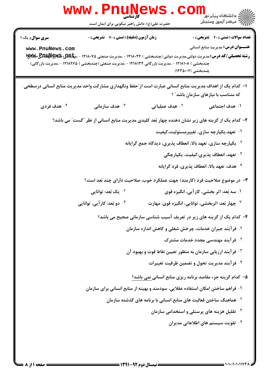| <b>WWW</b>                                                                                                                                       | حضرت علی(ع): دانش راهبر نیکویی برای ایمان است                   |                | ر دانشڪاه پيام نور <mark>−</mark><br>ا∛ مرکز آزمون وسنڊش                                                                                                                                                                                                                                                                                                                                                                                                                                                                                                                                                                                                                                                                                                                                                                                                                                                                                                                                                                                                                                                                         |
|--------------------------------------------------------------------------------------------------------------------------------------------------|-----------------------------------------------------------------|----------------|----------------------------------------------------------------------------------------------------------------------------------------------------------------------------------------------------------------------------------------------------------------------------------------------------------------------------------------------------------------------------------------------------------------------------------------------------------------------------------------------------------------------------------------------------------------------------------------------------------------------------------------------------------------------------------------------------------------------------------------------------------------------------------------------------------------------------------------------------------------------------------------------------------------------------------------------------------------------------------------------------------------------------------------------------------------------------------------------------------------------------------|
| <b>سری سوال :</b> یک ۱<br>www.PnuNews.com<br>چندبخشی ) ۱۲۱۸۱۰۸ - ،مدیریت بازرگانی ۱۲۱۸۱۳۴ - ،مدیریت صنعتی (چندبخشی ) ۱۲۱۸۲۶۵ - ،مدیریت بازرگانی) | <b>زمان آزمون (دقیقه) : تستی : 70 گشریحی : 0</b>                |                | <b>تعداد سوالات : تستی : 40 - تشریحی : 0</b><br><b>عنـــوان درس:</b> مدیریت منابع انسانی<br>چندبخشی )۱۲۳۵۰۰۲)                                                                                                                                                                                                                                                                                                                                                                                                                                                                                                                                                                                                                                                                                                                                                                                                                                                                                                                                                                                                                    |
| ا– کدام یک از اهداف مدیریت منابع انسانی عبارت است از ّحفظ ونگهداری مشارکت واحد مدیریت منابع انسانی درسطحی                                        |                                                                 |                | که متناسب با نیازهای سازمان باشد" ؟                                                                                                                                                                                                                                                                                                                                                                                                                                                                                                                                                                                                                                                                                                                                                                                                                                                                                                                                                                                                                                                                                              |
| ۰۴ هدف فردی                                                                                                                                      | هدف سازمانی $\cdot$                                             | ۰۲ هدف عملیاتی | ۱. هدف اجتماعی                                                                                                                                                                                                                                                                                                                                                                                                                                                                                                                                                                                                                                                                                                                                                                                                                                                                                                                                                                                                                                                                                                                   |
|                                                                                                                                                  | ۰۲ یک بُعد: توانایی<br>۰ <sup>۴</sup> دو بُعد: کار آیی، توانایی |                | ۲- کدام یک از گزینه های زیر نشان دهنده چهار بُعد کلیدی مدیریت منابع انسانی از نظر "گست" می باشد؟<br>۰۱ تعهد،یکپارچه سازی، تغییرمسئولیت،کیفیت<br><sup>۲</sup> ۰ یکپارچه سازی، تعهد بالا، انعطاف پذیری، دیدگاه جمع گرایانه<br>۰ <sup>۳</sup> تعهد، انعطاف پذیری،کیفیت، یکپارچگی<br>۰۴ هدف، تعهد بالا، انعطاف پذیری، فرد گرایانه<br>۳- در موضوع صلاحیت فرد (کارمند) جهت عملکرد خوب، صلاحیت دارای چند بُعد است؟<br>۰۱ سه بُعد: اثر بخشی، کار آیی، انگیزه قوی<br>۰ <sup>۳</sup> چهار بُعد: اثربخشی، توانایی، انگیزه قوی، مهارت<br>۴- کدام یک از گزینه های زیر در تعریف آسیب شناسی سازمانی صحیح می باشد؟<br>۰۱ فرآیند جبران خدمات، چرخش شغلی و کاهش اندازه سازمان<br><b>گ فرآیند مهندسی مجدد خدمات مشترک</b><br>$\cdot$ * فرآیند ارزیابی سازمان به منظور تعیین نقاط قوت و بهبود آن $\cdot$<br>۰۴ فرآیند مدیریت تحول و تضمین ظرفیت تغییرات<br>۵- کدام گزینه جزء مقاصد برنامه ریزی منابع انسانی نمی باشد؟<br>۰۱ فراهم ساختن امکان استفاده عقلایی، سودمند و بهینه از منابع انسانی برای سازمان<br><sup>۲</sup> ۰ هماهنگ ساختن فعالیت های منابع انسانی با برنامه های گذشته سازمان<br><sup>۳.</sup> تقلیل هزینه های پرسنلی و استخدامی سازمان |
|                                                                                                                                                  |                                                                 |                | ۰۴ تقویت سیستم های اطلاعاتی مدیران                                                                                                                                                                                                                                                                                                                                                                                                                                                                                                                                                                                                                                                                                                                                                                                                                                                                                                                                                                                                                                                                                               |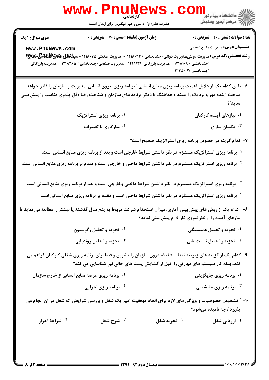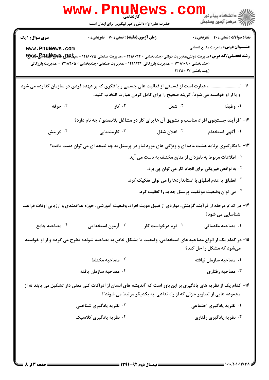|                                                                                                    | WWW . PR<br>کارشناسی<br>حضرت علی(ع): دانش راهبر نیکویی برای ایمان است                                                                            |                                                                             | د دانشگاه پيام نو <mark>.</mark><br>√ مرکز آزمون وسنجش                                   |
|----------------------------------------------------------------------------------------------------|--------------------------------------------------------------------------------------------------------------------------------------------------|-----------------------------------------------------------------------------|------------------------------------------------------------------------------------------|
| <b>سری سوال : ۱ یک</b><br>www.PnuNews.com                                                          | زمان آزمون (دقیقه) : تستی : 70 گشریحی : 0<br>(چندبخشی ) ۱۲۱۸۱۰۸ - ،مدیریت بازرگانی ۱۲۱۸۱۳۴ - ،مدیریت صنعتی (چندبخشی ) ۱۲۱۸۲۶۵ - ،مدیریت بازرگانی | (چندبخشی )۱۲۳۵۰۰۲                                                           | <b>تعداد سوالات : تستی : 40 ٪ تشریحی : 0</b><br><b>عنـــوان درس:</b> مدیریت منابع انسانی |
|                                                                                                    | 11- "……………………… عبارت است از قسمتی از فعالیت های جسمی و یا فکری که بر عهده فردی در سازمان گذارده می شود                                           | و یا از او خواسته می شود ؒ. گزینه صحیح را برای کامل کردن عبارت انتخاب کنید. |                                                                                          |
| ۰۴ حرفه                                                                                            | ۰۳ کار میلادی که استفاده به کار استفاده به این که استفاده به کار استفاده به کار استفاده به کار استفا                                             | ۰ <sup>۲</sup> شغل                                                          | ۰۱ وظیفه                                                                                 |
|                                                                                                    | ۱۲- آفرآیند جستجوی افراد مناسب و تشویق آن ها برای کار در مشاغل بلاتصدی ّ، چه نام دارد؟                                                           |                                                                             |                                                                                          |
| ۰ <sup>۴ ک</sup> زینش                                                                              | ۰ <sup>۳</sup> کارمندیابی                                                                                                                        | ۰ <sup>۲</sup> اعلان شغل                                                    | ۰۱ آگهی استخدام                                                                          |
| ۱۳- با بکارگیری برنامه هشت ماده ای و ویژگی های مورد نیاز در پرسنل به چه نتیجه ای می توان دست یافت؟ |                                                                                                                                                  |                                                                             |                                                                                          |
|                                                                                                    |                                                                                                                                                  | ۰۱ اطلاعات مربوط به نامزدان از منابع مختلف به دست می آید.                   |                                                                                          |
|                                                                                                    |                                                                                                                                                  |                                                                             | <sup>۲</sup> ۰ به نواقص فیزیکی برای انجام کار می توان پی برد.                            |
|                                                                                                    |                                                                                                                                                  | ۰۳ انطباق یا عدم انطباق با استانداردها را می توان تفکیک کرد.                |                                                                                          |
|                                                                                                    |                                                                                                                                                  | ۰ <sup>۴</sup> می توان وضعیت موفقیت پرسنل جدید را تعقیب کرد.                |                                                                                          |
|                                                                                                    | ۱۴– در کدام مرحله از فرآیند گزینش، مواردی از قبیل هویت افراد، وضعیت آموزشی، حوزه علاقمندی و ارزیابی اوقات فراغت                                  |                                                                             | شناسایی می شود؟                                                                          |
| ۰۴ مصاحبه جامع                                                                                     | ۰۳ آزمون استخدامی                                                                                                                                | ۰ <sup>۲</sup> فرم درخواست کار                                              | ۰۱ مصاحبه مقدماتی                                                                        |
|                                                                                                    | ۱۵– در کدام یک از انواع مصاحبه های استخدامی، وضعیت یا مشکل خاص به مصاحبه شونده مطرح می گردد و از او خواسته                                       |                                                                             | میشود که مشکل را حل کند؟                                                                 |
|                                                                                                    | مصاحبه مختلط $\cdot$ ۲                                                                                                                           |                                                                             | ۰۱ مصاحبه سازمان نیافته                                                                  |
|                                                                                                    | شماحبه سازمان يافته $\cdot$ ۴                                                                                                                    |                                                                             | مصاحبه رفتاری $\cdot$                                                                    |
|                                                                                                    | ۱۶– کدام یک از نظریه های یادگیری بر این باور است که ″اندیشه های انسان از ادراکات کلی معنی دار تشکیل می یابند نه از                               | مجموعه هایی از تصاویر جزئی که از راه تداعی به یکدیگر مرتبط می شوند ؒ؟       |                                                                                          |
|                                                                                                    | <sup>۲</sup> ۰ نظریه یادگیری شناختی                                                                                                              |                                                                             | ۰۱ نظریه یادگیری اجتماعی                                                                 |
|                                                                                                    | ۰۴ نظریه یادگیری کلاسیک                                                                                                                          |                                                                             | ۰۳ نظریه یادگیری رفتاری                                                                  |
|                                                                                                    |                                                                                                                                                  |                                                                             |                                                                                          |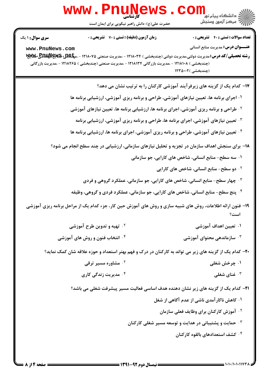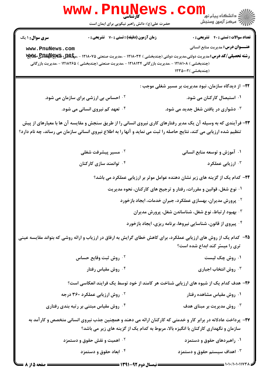|                                           | <b>WWW.FNUNEWS</b><br>کارشناسی<br>حضرت علی(ع): دانش راهبر نیکویی برای ایمان است                                                                  |                                                                                                                                                                                                                                        |
|-------------------------------------------|--------------------------------------------------------------------------------------------------------------------------------------------------|----------------------------------------------------------------------------------------------------------------------------------------------------------------------------------------------------------------------------------------|
| <b>سری سوال : ۱ یک</b><br>www.PnuNews.com | زمان آزمون (دقیقه) : تستی : 70 گشریحی : 0<br>(چندبخشی ) ۱۲۱۸۱۰۸ - ،مدیریت بازرگانی ۱۲۱۸۱۳۴ - ،مدیریت صنعتی (چندبخشی ) ۱۲۱۸۲۶۵ - ،مدیریت بازرگانی | <b>تعداد سوالات : تستی : 40 - تشریحی : .</b><br><b>عنـــوان درس:</b> مدیریت منابع انسانی<br>(چندبخشی )۱۲۳۵۰۰۲                                                                                                                          |
|                                           | <sup>۲ .</sup> احساس بی ارزشی برای سازمان می شود.                                                                                                | <b>۲۲- از دیدگاه سازمان، نبود مدیریت بر مسیر شغلی موجب :</b><br>۰۱ استیصال کارکنان می شود.                                                                                                                                             |
|                                           | ۰ <sup>۴ تع</sup> هد کم نیروی انسانی می شود.                                                                                                     | ۰۳ دشواری در یافتن شغل جدید می شود.                                                                                                                                                                                                    |
|                                           |                                                                                                                                                  | ۲۳– فرآیندی که به وسیله آن یک مدیر رفتارهای کاری نیروی انسانی را از طریق سنجش و مقایسه آن ها با معیارهای از پیش<br>تنظیم شده ارزیابی می کند، نتایج حاصله را ثبت می نماید و آنها را به اطلاع نیروی انسانی سازمان می رساند، چه نام دارد؟ |
|                                           | ۰ <sup>۲</sup> مسیر پیشرفت شغلی                                                                                                                  | ۰۱ آموزش و توسعه منابع انسانی                                                                                                                                                                                                          |
|                                           | ۰۴ توانمند سازی کارکنان                                                                                                                          | ارزیابی عملکرد $\cdot$                                                                                                                                                                                                                 |
|                                           |                                                                                                                                                  | ۲۴– کدام یک از گزینه های زیر نشان دهنده عوامل موثر بر ارزیابی عملکرد می باشد؟                                                                                                                                                          |
|                                           |                                                                                                                                                  | ۰۱ نوع شغل، قوانین و مقررات، رفتار و ترجیح های کارکنان، نحوه مدیریت                                                                                                                                                                    |
|                                           |                                                                                                                                                  | <sup>۲</sup> ۰ پرورش مدیران، بهسازی عملکرد، جبران خدمات، ایجاد بازخورد                                                                                                                                                                 |
|                                           |                                                                                                                                                  | بهبود ارتباط، نوع شغل، شناساندن شغل، پرورش مدیران $\cdot^{\mathrm{v}}$                                                                                                                                                                 |
|                                           |                                                                                                                                                  | ۰۴ پیروی از قانون، شناسایی نیروها، برنامه ریزی، ایجاد بازخورد                                                                                                                                                                          |
|                                           |                                                                                                                                                  | ۲۵– کدام یک از روش های ارزیابی عملکرد، برای کاهش خطای گرایش به ارفاق در ارزیاب و ارائه روشی که بتواند مقایسه عینی<br>تری را میسّر کند ابداع شده است؟                                                                                   |
|                                           | ۰ <sup>۲</sup> روش ثبت وقایع حساس                                                                                                                | ۰۱ روش چک لیست                                                                                                                                                                                                                         |
|                                           | ۰ <sup>۴</sup> روش مقیاس رفتار                                                                                                                   | روش انتخاب اجباری $\cdot^{\mathsf{y}}$                                                                                                                                                                                                 |
|                                           |                                                                                                                                                  | ۲۶- هدف کدام یک از شیوه های ارزیابی شناخت هر کامند از خود توسط یک فرایند انعکاسی است؟                                                                                                                                                  |
|                                           | <sup>۲.</sup> روش ارزیابی عملکرد ۳۶۰ درجه                                                                                                        | ۰۱ روش مقیاس مشاهده رفتار                                                                                                                                                                                                              |
|                                           | ۰ <sup>۴</sup> روش مقیاس مبتنی بر رتبه بندی رفتاری                                                                                               | روش مدیریت بر مبنای هدف $\cdot^{\texttt{\textsf{v}}}$                                                                                                                                                                                  |
|                                           |                                                                                                                                                  | ۲۷- پرداخت عادلانه در برابر کار و خدمتی که کارکنان ارائه می دهند و همچنین جذب نیروی انسانی متخصص و کارآمد به<br>سازمان و نگهداری کارکنان با انگیزه بالا، مربوط به کدام یک از گزینه های زیر می باشد؟                                    |
|                                           | ۰ <sup>۲</sup> اهمیت و نقش حقوق و دستمزد                                                                                                         | ۰۱ راهبردهای حقوق و دستمزد                                                                                                                                                                                                             |
|                                           | ۰۴ ابعاد حقوق و دستمزد                                                                                                                           | ۰۳ اهداف سیستم حقوق و دستمزد                                                                                                                                                                                                           |

صفحه 5 از 8 =

 $\blacksquare$  ) • ) • / ) • ) • ) 1 )  $\lor$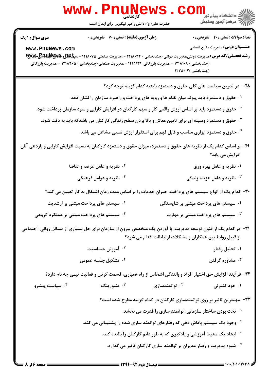|                                                                                                                                                  | <b>WWW.Pnuille</b><br>حضرت علی(ع): دانش راهبر نیکویی برای ایمان است                                                                                                                                           |                            | \<br>  دانشڪاء پيا <sub>م</sub> نور<br> 7 مرڪز آزمون وسنڊش                                                                                                                                                       |
|--------------------------------------------------------------------------------------------------------------------------------------------------|---------------------------------------------------------------------------------------------------------------------------------------------------------------------------------------------------------------|----------------------------|------------------------------------------------------------------------------------------------------------------------------------------------------------------------------------------------------------------|
| <b>سری سوال : ۱ یک</b><br>www.PnuNews.com<br>(چندبخشی ) ۱۲۱۸۱۰۸ - ،مدیریت بازرگانی ۱۲۱۸۱۳۴ - ،مدیریت صنعتی (چندبخشی ) ۱۲۱۸۲۶۵ - ،مدیریت بازرگانی | <b>زمان آزمون (دقیقه) : تستی : 70 قشریحی : 0</b>                                                                                                                                                              |                            | <b>تعداد سوالات : تستي : 40 ٪ تشريحي : 0</b><br><b>عنـــوان درس:</b> مدیریت منابع انسانی<br>(چندبخشی )۱۲۳۵۰۰۲                                                                                                    |
|                                                                                                                                                  | ۰۱ حقوق و دستمزد باید پیوند میان نظام ها و رویه های پرداخت و راهبرد سازمان را نشان دهد.<br><sup>۲.</sup> حقوق و دستمزد باید بر اساس ارزش واقعی کار و سهم کارکنان در افزایش کارایی و سود سازمان پرداخت شود.    |                            | ۲۸– در تدوین سیاست های کلی حقوق و دستمزد بایدبه کدام گزینه توجه کرد؟                                                                                                                                             |
| ۲۹- بر اساس کدام یک از نظریه های حقوق و دستمزد، میزان حقوق و دستمزد کارکنان به نسبت افزایش کارایی و بازدهی آنان                                  | ۰ <sup>۳ ـ</sup> حقوق و دستمزد وسیله ای برای تامین معاش و بالا بردن سطح زندگی کارکنان می باشدکه باید به دقت شود.<br><sup>۰۴</sup> حقوق و دستمزد ابزاری مناسب و قابل فهم برای استقرار ارزش نسبی مشاغل می باشد. |                            |                                                                                                                                                                                                                  |
|                                                                                                                                                  | <sup>۲.</sup> نظریه و عامل عرضه و تقاضا<br>۰۴ نظریه و عوامل فرهنگی                                                                                                                                            |                            | افزایش می یابد؟<br>۰۱ نظریه و عامل بهره وری<br>۰۳ نظریه و عامل هزینه زندگی $\cdot$                                                                                                                               |
| <sup>۲</sup> ۰ سیستم های پرداخت مبتنی بر ارشدیت<br>۰۴ سیستم های پرداخت مبتنی بر عملکرد گروهی                                                     |                                                                                                                                                                                                               |                            | ۳۰– کدام یک از انواع سیستم های پرداخت، جبران خدمات را بر اساس مدت زمان اشتغال به کار تعیین می کند؟<br>۰۱ سیستم های پرداخت مبتنی بر شایستگی<br>۰ <sup>۳</sup> سیستم های پرداخت مبتنی بر مهارت *                   |
| <b>۳۱</b> - در کدام یک از فنون توسعه مدیریت، با آوردن یک متخصص بیرون از سازمان برای حل بسیاری از مسائل روانی-اجتماعی                             | ۰ <sup>۲</sup> آموزش حساسیت<br>۰۴ تشکیل جلسه عمومی                                                                                                                                                            |                            | از قبیل روابط بین همکاران و مشکلات ارتباطات اقدام می شود؟<br>۰۱ تحلیل رفتار<br>۰۳ مشاوره گرفتن                                                                                                                   |
| ۰ <sup>۴</sup> سیاست پیشرو                                                                                                                       | ۰ <sup>۳</sup> منتورینگ                                                                                                                                                                                       | ۰ <sup>۲</sup> توانمندسازی | 33- فرآیند افزایش حق اختیار افراد و بالندگی اشخاص از راه همیاری، قسمت کردن و فعالیت تیمی چه نام دارد؟<br>۰۱ خود کنترلی                                                                                           |
|                                                                                                                                                  | <sup>۲</sup> ۰ وجود یک سیستم پاداش دهی که رفتارهای توانمند سازی شده را پشتیبانی می کند.                                                                                                                       |                            | ۳۳- مهمترین تاثیر بر روی توانمندسازی کارکنان در کدام گزینه مطرح شده است؟<br>۰۱ تخت بودن ساختار سازمانی، توانمند سازی را قدرت می بخشد.<br>۰۳ ایجاد یک محیط آموزشی و یادگیری که به طور دائم کارکنان را بالنده کند. |
|                                                                                                                                                  |                                                                                                                                                                                                               |                            | ۰۴ شیوه مدیریت و رفتار مدیران بر توانمند سازی کارکنان تاثیر می گذارد.                                                                                                                                            |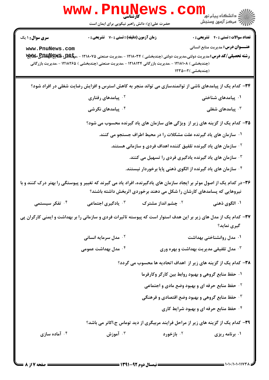|                                                                                                                                                                                                 | w w w<br>کأرشناسي<br>حضرت علی(ع): دانش راهبر نیکویی برای ایمان است                                  |                                | ڪ دانشڪاه پيام نور<br>ر <i>7</i> مرڪز آزمون وسنڊش                                                                                                                                                   |
|-------------------------------------------------------------------------------------------------------------------------------------------------------------------------------------------------|-----------------------------------------------------------------------------------------------------|--------------------------------|-----------------------------------------------------------------------------------------------------------------------------------------------------------------------------------------------------|
| <b>سری سوال : ۱ یک</b>                                                                                                                                                                          | <b>زمان آزمون (دقیقه) : تستی : 70 ٪ تشریحی : 0</b>                                                  |                                | <b>تعداد سوالات : تستی : 40 قشریحی : 0</b>                                                                                                                                                          |
| www.PnuNews.com                                                                                                                                                                                 | (چندبخشی ) ۱۲۱۸۱۰۸ - ،مدیریت بازرگانی ۱۲۱۸۱۳۴ - ،مدیریت صنعتی (چندبخشی ) ۱۲۱۸۲۶۵ - ،مدیریت بازرگانی |                                | <b>عنـــوان درس:</b> مدیریت منابع انسانی<br><b>رشته تحصیلی/کد درس:</b> مدیریت دولتی،مدیریت دولتی (چندبخشی ) ۱۲۱۸۰۳۴ - ،مدیریت صنعتی ۱۲۱۸۰۷۵ - ،م <b>پلکلید پایلاپایا پایلا</b><br>(چندبخشی )۱۲۳۵۰۰۲ |
|                                                                                                                                                                                                 |                                                                                                     |                                | ۳۴– کدام یک از پیامدهای ناشی از توانمندسازی می تواند منجر به کاهش استرس و افزایش رضایت شغلی در افراد شود؟                                                                                           |
|                                                                                                                                                                                                 | ۰ <sup>۲</sup> پیامدهای رفتاری                                                                      |                                | ۰۱ پیامدهای شناختی                                                                                                                                                                                  |
|                                                                                                                                                                                                 | ۰ <sup>۴</sup> پیامدهای نگرشی                                                                       |                                | یامدهای شغلی $\cdot$                                                                                                                                                                                |
| ۳۵– کدام یک از گزینه های زیر از ویژگی های سازمان های یاد گیرنده محسوب می شود؟                                                                                                                   |                                                                                                     |                                |                                                                                                                                                                                                     |
|                                                                                                                                                                                                 | ۰۱ سازمان های یاد گیرنده علت مشکلات را در محیط اطراف جستجو می کنند.                                 |                                |                                                                                                                                                                                                     |
| <sup>۲.</sup> سازمان های یاد گیرنده تلفیق کننده اهداف فردی و سازمانی هستند.                                                                                                                     |                                                                                                     |                                |                                                                                                                                                                                                     |
|                                                                                                                                                                                                 |                                                                                                     |                                | ۰۳ سازمان های یاد گیرنده یادگیری فردی را تسهیل می کنند.                                                                                                                                             |
|                                                                                                                                                                                                 |                                                                                                     |                                | ۰۴ سازمان های یاد گیرنده از الگوی ذهنی پایا برخوردار نیستند.                                                                                                                                        |
| ۳۶-در کدام یک از اصول موثر بر ایجاد سازمان های یادگیرنده، افراد یاد می گیرند که تغییر و پیوستگی را بهتر درک کنند و با<br>نیروهایی که پسامدهای کارشان را شکل می دهند برخوردی اثربخش داشته باشند؟ |                                                                                                     |                                |                                                                                                                                                                                                     |
| ۰ <sup>۴ ت</sup> فکر سیستمی                                                                                                                                                                     | ا یادگیری اجتماعی $\cdot^{\mathsf{y}}$                                                              | ۰ <sup>۲</sup> چشم انداز مشترک | ۰۱ الگوی ذهنی                                                                                                                                                                                       |
|                                                                                                                                                                                                 |                                                                                                     |                                | ۳۷– کدام یک از مدل های زیر بر این هدف استوار است که پیوسته تاثیرات فردی و سازمانی را بر بهداشت و ایمنی کارگران پی<br>گیری نماید؟                                                                    |
|                                                                                                                                                                                                 | <sup>7</sup> ۰ مدل سرمایه انسانی                                                                    |                                | ۰۱ مدل روانشناختی بهداشت                                                                                                                                                                            |
|                                                                                                                                                                                                 | ۰۴ مدل بهداشت عمومی                                                                                 |                                | مدل تلفیقی مدیریت بهداشت و بهره وری $\cdot^{\texttt{\textsf{v}}}$                                                                                                                                   |
|                                                                                                                                                                                                 |                                                                                                     |                                | ۳۸– کدام یک از گزینه های زیر از اهداف اتحادیه ها محسوب می گردد؟                                                                                                                                     |
|                                                                                                                                                                                                 |                                                                                                     |                                | ۰۱ حفظ منابع گروهی و بهبود روابط بین کارگر وکارفرما                                                                                                                                                 |
|                                                                                                                                                                                                 |                                                                                                     |                                | <b>1. حفظ منابع حرفه ای و بهبود وضع مادی و اجتماعی</b>                                                                                                                                              |
|                                                                                                                                                                                                 |                                                                                                     |                                | ۰ <sup>۳</sup> حفظ منابع گروهی و بهبود وضع اقتصادی و فرهنگی                                                                                                                                         |
|                                                                                                                                                                                                 |                                                                                                     |                                | ۰۴ حفظ منابع حرفه ای و بهبود شرایط کاری                                                                                                                                                             |
|                                                                                                                                                                                                 |                                                                                                     |                                | ۳۹- کدام یک از گزینه های زیر از مراحل فرایند مربیگری از دید توماس ج.اکانر می باشد؟                                                                                                                  |
| ۰۴ آماده سازی                                                                                                                                                                                   | ۰ <sup>۳</sup> آموزش                                                                                | ۰ <sup>۲</sup> بازخورد         | ۰۱ برنامه ریزی                                                                                                                                                                                      |
|                                                                                                                                                                                                 |                                                                                                     |                                |                                                                                                                                                                                                     |